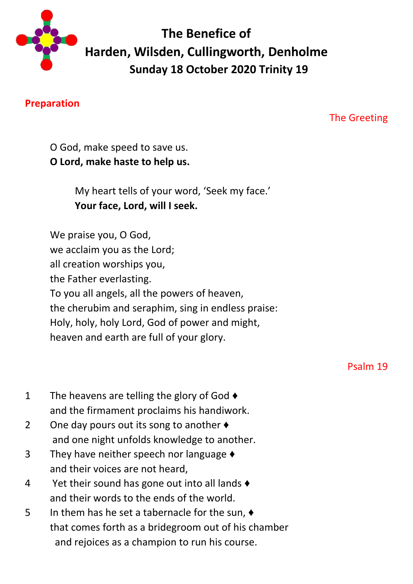

# **The Benefice of Harden, Wilsden, Cullingworth, Denholme Sunday 18 October 2020 Trinity 19**

#### **Preparation**

The Greeting

O God, make speed to save us. **O Lord, make haste to help us.**

> My heart tells of your word, 'Seek my face.' **Your face, Lord, will I seek.**

We praise you, O God, we acclaim you as the Lord; all creation worships you, the Father everlasting. To you all angels, all the powers of heaven, the cherubim and seraphim, sing in endless praise: Holy, holy, holy Lord, God of power and might, heaven and earth are full of your glory.

Psalm 19

- 1 The heavens are telling the glory of God  $\triangleleft$ and the firmament proclaims his handiwork.
- 2 One day pours out its song to another  $\triangle$ and one night unfolds knowledge to another.
- 3 They have neither speech nor language ♦ and their voices are not heard,
- 4 Yet their sound has gone out into all lands  $\triangleleft$ and their words to the ends of the world.
- 5 In them has he set a tabernacle for the sun, ♦ that comes forth as a bridegroom out of his chamber and rejoices as a champion to run his course.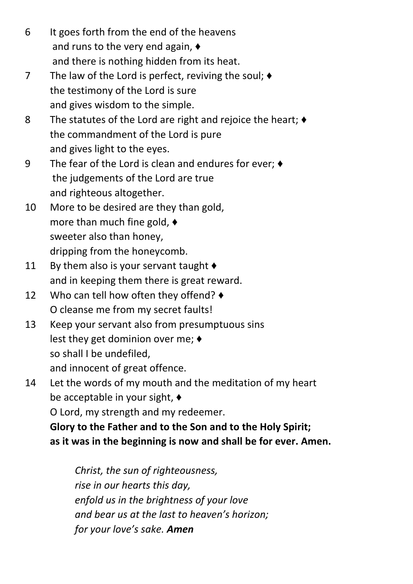- 6 It goes forth from the end of the heavens and runs to the very end again, ♦ and there is nothing hidden from its heat.
- 7 The law of the Lord is perfect, reviving the soul;  $\blacklozenge$  the testimony of the Lord is sure and gives wisdom to the simple.
- 8 The statutes of the Lord are right and rejoice the heart;  $\triangleleft$  the commandment of the Lord is pure and gives light to the eyes.
- 9 The fear of the Lord is clean and endures for ever; ♦ the judgements of the Lord are true and righteous altogether.
- 10 More to be desired are they than gold, more than much fine gold, ♦ sweeter also than honey, dripping from the honeycomb.
- 11 By them also is your servant taught  $\blacklozenge$ and in keeping them there is great reward.
- 12 Who can tell how often they offend? ♦ O cleanse me from my secret faults!
- 13 Keep your servant also from presumptuous sins lest they get dominion over me; ♦ so shall I be undefiled, and innocent of great offence.
- 14 Let the words of my mouth and the meditation of my heart be acceptable in your sight, ♦ O Lord, my strength and my redeemer.

**Glory to the Father and to the Son and to the Holy Spirit; as it was in the beginning is now and shall be for ever. Amen.**

*Christ, the sun of righteousness, rise in our hearts this day, enfold us in the brightness of your love and bear us at the last to heaven's horizon; for your love's sake. Amen*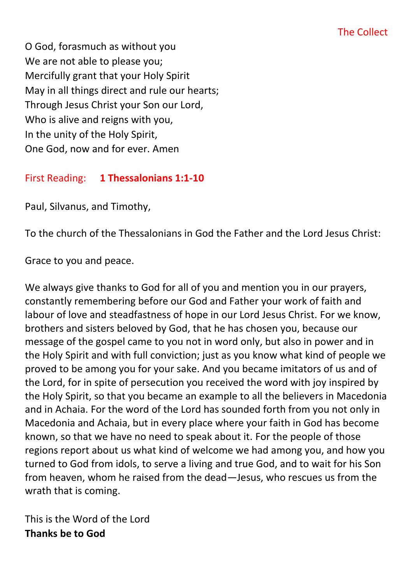O God, forasmuch as without you We are not able to please you; Mercifully grant that your Holy Spirit May in all things direct and rule our hearts; Through Jesus Christ your Son our Lord, Who is alive and reigns with you, In the unity of the Holy Spirit, One God, now and for ever. Amen

#### First Reading: **1 Thessalonians 1:1-10**

Paul, Silvanus, and Timothy,

To the church of the Thessalonians in God the Father and the Lord Jesus Christ:

Grace to you and peace.

We always give thanks to God for all of you and mention you in our prayers, constantly remembering before our God and Father your work of faith and labour of love and steadfastness of hope in our Lord Jesus Christ. For we know, brothers and sisters beloved by God, that he has chosen you, because our message of the gospel came to you not in word only, but also in power and in the Holy Spirit and with full conviction; just as you know what kind of people we proved to be among you for your sake. And you became imitators of us and of the Lord, for in spite of persecution you received the word with joy inspired by the Holy Spirit, so that you became an example to all the believers in Macedonia and in Achaia. For the word of the Lord has sounded forth from you not only in Macedonia and Achaia, but in every place where your faith in God has become known, so that we have no need to speak about it. For the people of those regions report about us what kind of welcome we had among you, and how you turned to God from idols, to serve a living and true God, and to wait for his Son from heaven, whom he raised from the dead—Jesus, who rescues us from the wrath that is coming.

This is the Word of the Lord **Thanks be to God**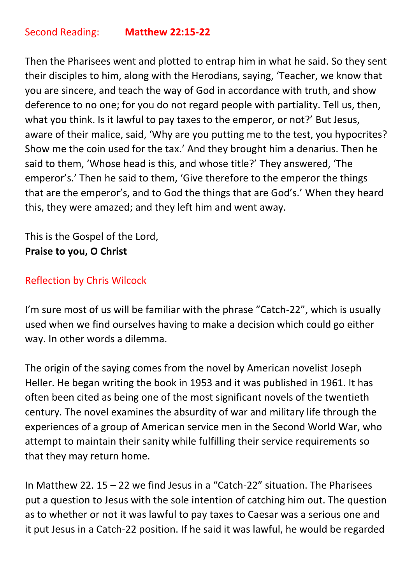Then the Pharisees went and plotted to entrap him in what he said. So they sent their disciples to him, along with the Herodians, saying, 'Teacher, we know that you are sincere, and teach the way of God in accordance with truth, and show deference to no one; for you do not regard people with partiality. Tell us, then, what you think. Is it lawful to pay taxes to the emperor, or not?' But Jesus, aware of their malice, said, 'Why are you putting me to the test, you hypocrites? Show me the coin used for the tax.' And they brought him a denarius. Then he said to them, 'Whose head is this, and whose title?' They answered, 'The emperor's.' Then he said to them, 'Give therefore to the emperor the things that are the emperor's, and to God the things that are God's.' When they heard this, they were amazed; and they left him and went away.

This is the Gospel of the Lord, **Praise to you, O Christ**

#### Reflection by Chris Wilcock

I'm sure most of us will be familiar with the phrase "Catch-22", which is usually used when we find ourselves having to make a decision which could go either way. In other words a dilemma.

The origin of the saying comes from the novel by American novelist Joseph Heller. He began writing the book in 1953 and it was published in 1961. It has often been cited as being one of the most significant novels of the twentieth century. The novel examines the absurdity of war and military life through the experiences of a group of American service men in the Second World War, who attempt to maintain their sanity while fulfilling their service requirements so that they may return home.

In Matthew 22. 15 – 22 we find Jesus in a "Catch-22" situation. The Pharisees put a question to Jesus with the sole intention of catching him out. The question as to whether or not it was lawful to pay taxes to Caesar was a serious one and it put Jesus in a Catch-22 position. If he said it was lawful, he would be regarded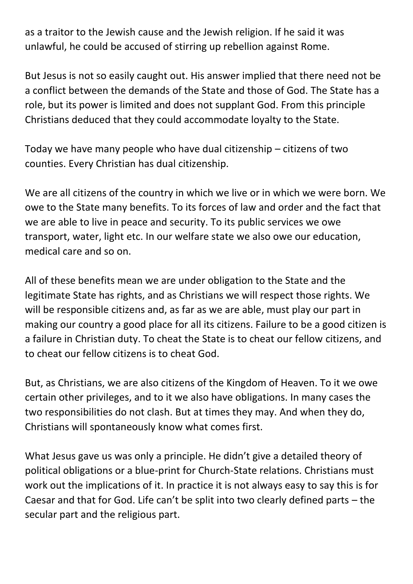as a traitor to the Jewish cause and the Jewish religion. If he said it was unlawful, he could be accused of stirring up rebellion against Rome.

But Jesus is not so easily caught out. His answer implied that there need not be a conflict between the demands of the State and those of God. The State has a role, but its power is limited and does not supplant God. From this principle Christians deduced that they could accommodate loyalty to the State.

Today we have many people who have dual citizenship – citizens of two counties. Every Christian has dual citizenship.

We are all citizens of the country in which we live or in which we were born. We owe to the State many benefits. To its forces of law and order and the fact that we are able to live in peace and security. To its public services we owe transport, water, light etc. In our welfare state we also owe our education, medical care and so on.

All of these benefits mean we are under obligation to the State and the legitimate State has rights, and as Christians we will respect those rights. We will be responsible citizens and, as far as we are able, must play our part in making our country a good place for all its citizens. Failure to be a good citizen is a failure in Christian duty. To cheat the State is to cheat our fellow citizens, and to cheat our fellow citizens is to cheat God.

But, as Christians, we are also citizens of the Kingdom of Heaven. To it we owe certain other privileges, and to it we also have obligations. In many cases the two responsibilities do not clash. But at times they may. And when they do, Christians will spontaneously know what comes first.

What Jesus gave us was only a principle. He didn't give a detailed theory of political obligations or a blue-print for Church-State relations. Christians must work out the implications of it. In practice it is not always easy to say this is for Caesar and that for God. Life can't be split into two clearly defined parts – the secular part and the religious part.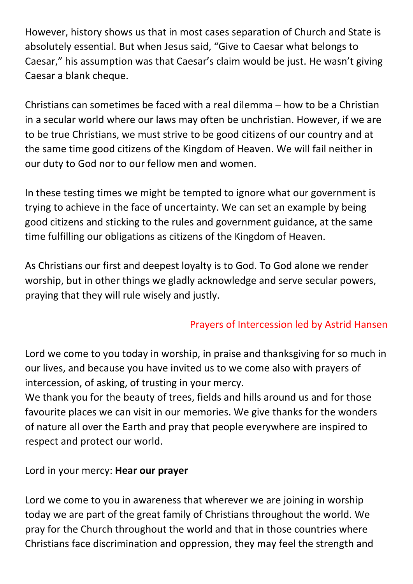However, history shows us that in most cases separation of Church and State is absolutely essential. But when Jesus said, "Give to Caesar what belongs to Caesar," his assumption was that Caesar's claim would be just. He wasn't giving Caesar a blank cheque.

Christians can sometimes be faced with a real dilemma – how to be a Christian in a secular world where our laws may often be unchristian. However, if we are to be true Christians, we must strive to be good citizens of our country and at the same time good citizens of the Kingdom of Heaven. We will fail neither in our duty to God nor to our fellow men and women.

In these testing times we might be tempted to ignore what our government is trying to achieve in the face of uncertainty. We can set an example by being good citizens and sticking to the rules and government guidance, at the same time fulfilling our obligations as citizens of the Kingdom of Heaven.

As Christians our first and deepest loyalty is to God. To God alone we render worship, but in other things we gladly acknowledge and serve secular powers, praying that they will rule wisely and justly.

### Prayers of Intercession led by Astrid Hansen

Lord we come to you today in worship, in praise and thanksgiving for so much in our lives, and because you have invited us to we come also with prayers of intercession, of asking, of trusting in your mercy.

We thank you for the beauty of trees, fields and hills around us and for those favourite places we can visit in our memories. We give thanks for the wonders of nature all over the Earth and pray that people everywhere are inspired to respect and protect our world.

Lord in your mercy: **Hear our prayer**

Lord we come to you in awareness that wherever we are joining in worship today we are part of the great family of Christians throughout the world. We pray for the Church throughout the world and that in those countries where Christians face discrimination and oppression, they may feel the strength and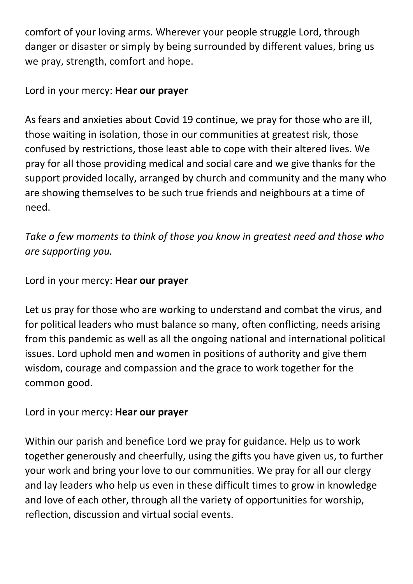comfort of your loving arms. Wherever your people struggle Lord, through danger or disaster or simply by being surrounded by different values, bring us we pray, strength, comfort and hope.

#### Lord in your mercy: **Hear our prayer**

As fears and anxieties about Covid 19 continue, we pray for those who are ill, those waiting in isolation, those in our communities at greatest risk, those confused by restrictions, those least able to cope with their altered lives. We pray for all those providing medical and social care and we give thanks for the support provided locally, arranged by church and community and the many who are showing themselves to be such true friends and neighbours at a time of need.

*Take a few moments to think of those you know in greatest need and those who are supporting you.*

#### Lord in your mercy: **Hear our prayer**

Let us pray for those who are working to understand and combat the virus, and for political leaders who must balance so many, often conflicting, needs arising from this pandemic as well as all the ongoing national and international political issues. Lord uphold men and women in positions of authority and give them wisdom, courage and compassion and the grace to work together for the common good.

#### Lord in your mercy: **Hear our prayer**

Within our parish and benefice Lord we pray for guidance. Help us to work together generously and cheerfully, using the gifts you have given us, to further your work and bring your love to our communities. We pray for all our clergy and lay leaders who help us even in these difficult times to grow in knowledge and love of each other, through all the variety of opportunities for worship, reflection, discussion and virtual social events.